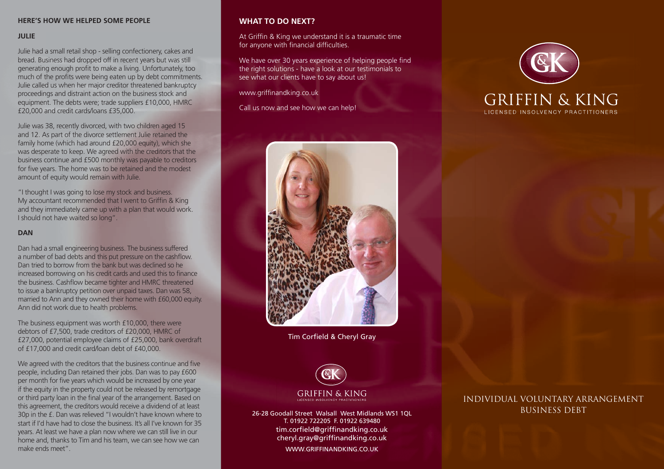### **HERE'S HOW WE HELPED SOME PEOPLE**

#### **JULIE**

Julie had a small retail shop - selling confectionery, cakes and bread. Business had dropped off in recent years but was still generating enough profit to make a living. Unfortunately, too much of the profits were being eaten up by debt commitments. Julie called us when her major creditor threatened bankruptcy proceedings and distraint action on the business stock and equipment. The debts were; trade suppliers £10,000, HMRC £20,000 and credit cards/loans £35,000.

Julie was 38, recently divorced, with two children aged 15 and 12. As part of the divorce settlement Julie retained the family home (which had around £20,000 equity), which she was desperate to keep. We agreed with the creditors that the business continue and £500 monthly was payable to creditors for five years. The home was to be retained and the modest amount of equity would remain with Julie.

"I thought I was going to lose my stock and business. My accountant recommended that I went to Griffin & King and they immediately came up with a plan that would work. I should not have waited so long".

#### **DAN**

Dan had a small engineering business. The business suffered a number of bad debts and this put pressure on the cashflow. Dan tried to borrow from the bank but was declined so he increased borrowing on his credit cards and used this to finance the business. Cashflow became tighter and HMRC threatened to issue a bankruptcy petition over unpaid taxes. Dan was 58, married to Ann and they owned their home with £60,000 equity. Ann did not work due to health problems.

The business equipment was worth £10,000, there were debtors of £7,500, trade creditors of £20,000, HMRC of £27,000, potential employee claims of £25,000, bank overdraft of £17,000 and credit card/loan debt of £40,000.

We agreed with the creditors that the business continue and five people, including Dan retained their jobs. Dan was to pay £600 per month for five years which would be increased by one year if the equity in the property could not be released by remortgage or third party loan in the final year of the arrangement. Based on this agreement, the creditors would receive a dividend of at least 30p in the £. Dan was relieved "I wouldn't have known where to start if I'd have had to close the business. It's all I've known for 35 years. At least we have a plan now where we can still live in our home and, thanks to Tim and his team, we can see how we can make ends meet".

# **WHAT TO DO NEXT?**

At Griffin & King we understand it is a traumatic time for anyone with financial difficulties.

We have over 30 years experience of helping people find the right solutions - have a look at our testimonials to see what our clients have to say about us!

www.griffinandking.co.uk

Call us now and see how we can help!



Tim Corfield & Cheryl Gray



T. 01922 722205 F. 01922 639480 tim.corfield@griffinandking.co.uk cheryl.gray@griffinandking.co.uk WWW.GRIFFINANDKING.CO.UK





**GRIFFIN & KING** LICENSED INSOLVENCY PRACTITIONERS